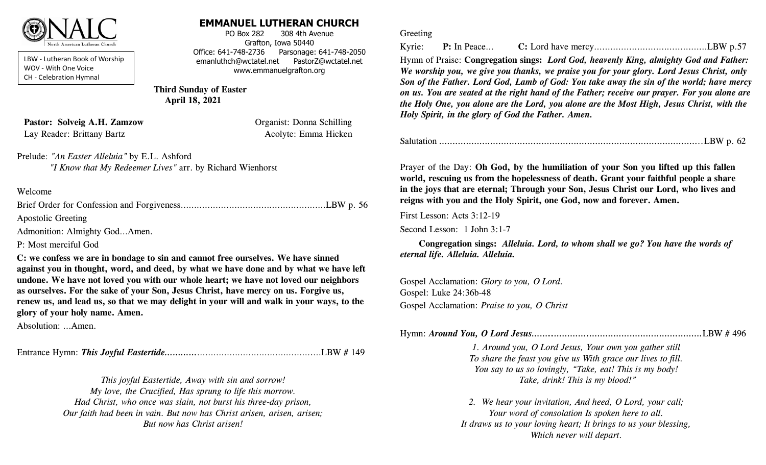

LBW - Lutheran Book of Worship WOV - With One Voice CH - Celebration Hymnal

# **EMMANUEL LUTHERAN CHURCH**

PO Box 282 308 4th Avenue Grafton, Iowa 50440 Office: 641-748-2736 Parsonage: 641-748-2050 emanluthch@wctatel.net PastorZ@wctatel.net www.emmanuelgrafton.org

**Third Sunday of Easter April 18, 2021**

**Pastor: Solveig A.H. Zamzow** Organist: Donna Schilling Lay Reader: Brittany Bartz Acolyte: Emma Hicken

Prelude: *"An Easter Alleluia"* by E.L. Ashford

*"I Know that My Redeemer Lives"* arr. by Richard Wienhorst

Welcome

Brief Order for Confession and Forgiveness………………………………………………LBW p. 56 Apostolic Greeting

Admonition: Almighty God…Amen.

P: Most merciful God

**C: we confess we are in bondage to sin and cannot free ourselves. We have sinned against you in thought, word, and deed, by what we have done and by what we have left undone. We have not loved you with our whole heart; we have not loved our neighbors as ourselves. For the sake of your Son, Jesus Christ, have mercy on us. Forgive us, renew us, and lead us, so that we may delight in your will and walk in your ways, to the glory of your holy name. Amen.**

Absolution: …Amen.

Entrance Hymn: *This Joyful Eastertide…………*…………………………………….…LBW # 149

*This joyful Eastertide, Away with sin and sorrow! My love, the Crucified, Has sprung to life this morrow. Had Christ, who once was slain, not burst his three-day prison, Our faith had been in vain. But now has Christ arisen, arisen, arisen; But now has Christ arisen!* 

#### Greeting

Kyrie: **P:** In Peace… **C:** Lord have mercy……………………………………LBW p.57

Hymn of Praise: **Congregation sings:** *Lord God, heavenly King, almighty God and Father: We worship you, we give you thanks, we praise you for your glory. Lord Jesus Christ, only Son of the Father. Lord God, Lamb of God: You take away the sin of the world; have mercy on us. You are seated at the right hand of the Father; receive our prayer. For you alone are the Holy One, you alone are the Lord, you alone are the Most High, Jesus Christ, with the Holy Spirit, in the glory of God the Father. Amen.* 

|--|--|--|--|

Prayer of the Day: **Oh God, by the humiliation of your Son you lifted up this fallen world, rescuing us from the hopelessness of death. Grant your faithful people a share in the joys that are eternal; Through your Son, Jesus Christ our Lord, who lives and reigns with you and the Holy Spirit, one God, now and forever. Amen.**

First Lesson: Acts 3:12-19

Second Lesson: 1 John 3:1-7

 **Congregation sings:** *Alleluia. Lord, to whom shall we go? You have the words of eternal life. Alleluia. Alleluia.* 

Gospel Acclamation: *Glory to you, O Lord.* Gospel: Luke 24:36b-48 Gospel Acclamation: *Praise to you, O Christ*

|--|--|--|--|

*1. Around you, O Lord Jesus, Your own you gather still To share the feast you give us With grace our lives to fill. You say to us so lovingly, "Take, eat! This is my body! Take, drink! This is my blood!"*

*2. We hear your invitation, And heed, O Lord, your call; Your word of consolation Is spoken here to all. It draws us to your loving heart; It brings to us your blessing, Which never will depart.*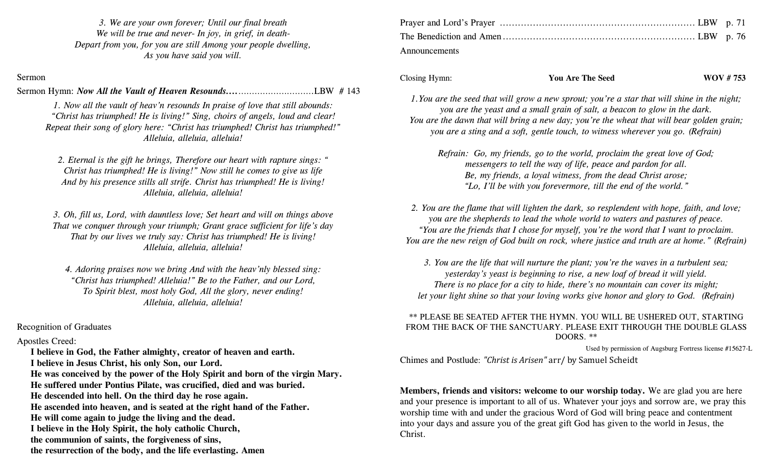*3. We are your own forever; Until our final breath We will be true and never- In joy, in grief, in death-Depart from you, for you are still Among your people dwelling, As you have said you will.* 

#### Sermon

Sermon Hymn: *Now All the Vault of Heaven Resounds....*……………………….LBW # 143

*1. Now all the vault of heav'n resounds In praise of love that still abounds: "Christ has triumphed! He is living!" Sing, choirs of angels, loud and clear! Repeat their song of glory here: "Christ has triumphed! Christ has triumphed!" Alleluia, alleluia, alleluia!* 

*2. Eternal is the gift he brings, Therefore our heart with rapture sings: " Christ has triumphed! He is living!" Now still he comes to give us life And by his presence stills all strife. Christ has triumphed! He is living! Alleluia, alleluia, alleluia!*

*3. Oh, fill us, Lord, with dauntless love; Set heart and will on things above That we conquer through your triumph; Grant grace sufficient for life's day That by our lives we truly say: Christ has triumphed! He is living! Alleluia, alleluia, alleluia!* 

*4. Adoring praises now we bring And with the heav'nly blessed sing: "Christ has triumphed! Alleluia!" Be to the Father, and our Lord, To Spirit blest, most holy God, All the glory, never ending! Alleluia, alleluia, alleluia!* 

Recognition of Graduates

### Apostles Creed:

**I believe in God, the Father almighty, creator of heaven and earth.**

**I believe in Jesus Christ, his only Son, our Lord.**

**He was conceived by the power of the Holy Spirit and born of the virgin Mary.**

**He suffered under Pontius Pilate, was crucified, died and was buried.**

**He descended into hell. On the third day he rose again.**

**He ascended into heaven, and is seated at the right hand of the Father.**

**He will come again to judge the living and the dead.**

**I believe in the Holy Spirit, the holy catholic Church,**

**the communion of saints, the forgiveness of sins,**

**the resurrection of the body, and the life everlasting. Amen**

| Announcements |  |
|---------------|--|

Closing Hymn: **You Are The Seed WOV # 753**

*1.You are the seed that will grow a new sprout; you're a star that will shine in the night; you are the yeast and a small grain of salt, a beacon to glow in the dark. You are the dawn that will bring a new day; you're the wheat that will bear golden grain; you are a sting and a soft, gentle touch, to witness wherever you go. (Refrain)*

*Refrain: Go, my friends, go to the world, proclaim the great love of God; messengers to tell the way of life, peace and pardon for all. Be, my friends, a loyal witness, from the dead Christ arose; "Lo, I'll be with you forevermore, till the end of the world."*

*2. You are the flame that will lighten the dark, so resplendent with hope, faith, and love; you are the shepherds to lead the whole world to waters and pastures of peace. "You are the friends that I chose for myself, you're the word that I want to proclaim. You are the new reign of God built on rock, where justice and truth are at home." (Refrain)*

*3. You are the life that will nurture the plant; you're the waves in a turbulent sea; yesterday's yeast is beginning to rise, a new loaf of bread it will yield. There is no place for a city to hide, there's no mountain can cover its might; let your light shine so that your loving works give honor and glory to God. (Refrain)*

## \*\* PLEASE BE SEATED AFTER THE HYMN. YOU WILL BE USHERED OUT, STARTING FROM THE BACK OF THE SANCTUARY. PLEASE EXIT THROUGH THE DOUBLE GLASS DOORS. \*\*

Used by permission of Augsburg Fortress license #15627-L

Chimes and Postlude: *"Christ is Arisen"* arr/ by Samuel Scheidt

**Members, friends and visitors: welcome to our worship today.** We are glad you are here and your presence is important to all of us. Whatever your joys and sorrow are, we pray this worship time with and under the gracious Word of God will bring peace and contentment into your days and assure you of the great gift God has given to the world in Jesus, the Christ.